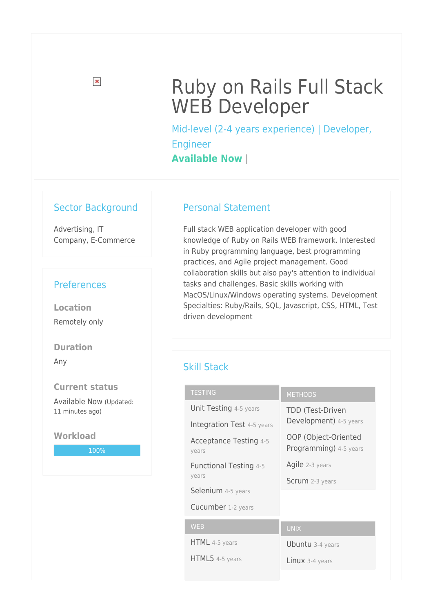# Ruby on Rails Full Stack WEB Developer

Mid-level (2-4 years experience) | Developer, Engineer **Available Now** |

### Sector Background

Advertising, IT Company, E-Commerce

## **Preferences**

**Location** Remotely only

**Duration**

Any

#### **Current status**

Available Now (Updated: 11 minutes ago)

#### **Workload**

100%

## Personal Statement

Full stack WEB application developer with good knowledge of Ruby on Rails WEB framework. Interested in Ruby programming language, best programming practices, and Agile project management. Good collaboration skills but also pay's attention to individual tasks and challenges. Basic skills working with MacOS/Linux/Windows operating systems. Development Specialties: Ruby/Rails, SQL, Javascript, CSS, HTML, Test driven development

# Skill Stack

| <b>TESTING</b>                    | <b>METHODS</b>                                 |
|-----------------------------------|------------------------------------------------|
| Unit Testing 4-5 years            | <b>TDD (Test-Driven</b>                        |
| <b>Integration Test 4-5 years</b> | Development) 4-5 years                         |
| Acceptance Testing 4-5<br>years   | OOP (Object-Oriented<br>Programming) 4-5 years |
| <b>Functional Testing 4-5</b>     | Agile 2-3 years                                |
| years                             | <b>Scrum</b> 2-3 years                         |
| Selenium 4-5 years                |                                                |
| Cucumber 1-2 years                |                                                |
| <b>WEB</b>                        | <b>UNIX</b>                                    |
| HTML 4-5 years                    | Ubuntu 3-4 years                               |
| HTML5 4-5 years                   | Linux 3-4 years                                |
|                                   |                                                |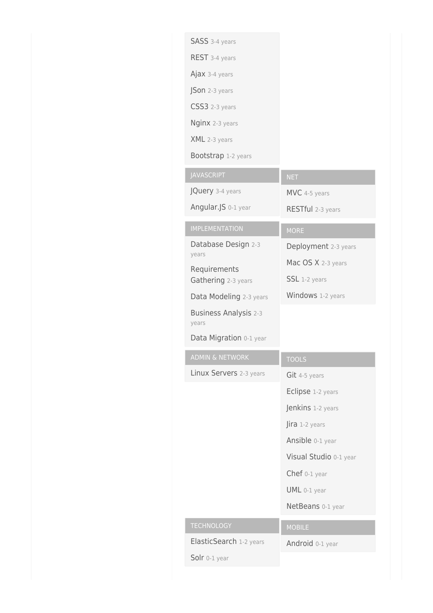| SASS 3-4 years                        |                        |
|---------------------------------------|------------------------|
| REST 3-4 years                        |                        |
| Ajax 3-4 years                        |                        |
| JSon 2-3 years                        |                        |
| CSS3 2-3 years                        |                        |
| Nginx 2-3 years                       |                        |
| XML 2-3 years                         |                        |
| Bootstrap 1-2 years                   |                        |
| <b>JAVASCRIPT</b>                     | <b>NET</b>             |
| JQuery 3-4 years                      | MVC 4-5 years          |
| Angular.JS 0-1 year                   | RESTful 2-3 years      |
| <b>IMPLEMENTATION</b>                 | <b>MORE</b>            |
| Database Design 2-3                   | Deployment 2-3 years   |
| years                                 | Mac OS X 2-3 years     |
| Requirements<br>Gathering 2-3 years   | SSL 1-2 years          |
| Data Modeling 2-3 years               | Windows 1-2 years      |
| <b>Business Analysis 2-3</b><br>years |                        |
| Data Migration 0-1 year               |                        |
| <b>ADMIN &amp; NETWORK</b>            | <b>TOOLS</b>           |
| Linux Servers 2-3 years               | Git 4-5 years          |
|                                       |                        |
|                                       | Eclipse 1-2 years      |
|                                       | Jenkins 1-2 years      |
|                                       | Jira 1-2 years         |
|                                       | Ansible 0-1 year       |
|                                       | Visual Studio 0-1 year |
|                                       | Chef $0-1$ year        |
|                                       | $UML$ 0-1 year         |
|                                       | NetBeans 0-1 year      |
| <b>TECHNOLOGY</b>                     | <b>MOBILE</b>          |
| ElasticSearch 1-2 years               | Android 0-1 year       |
| Solr 0-1 year                         |                        |